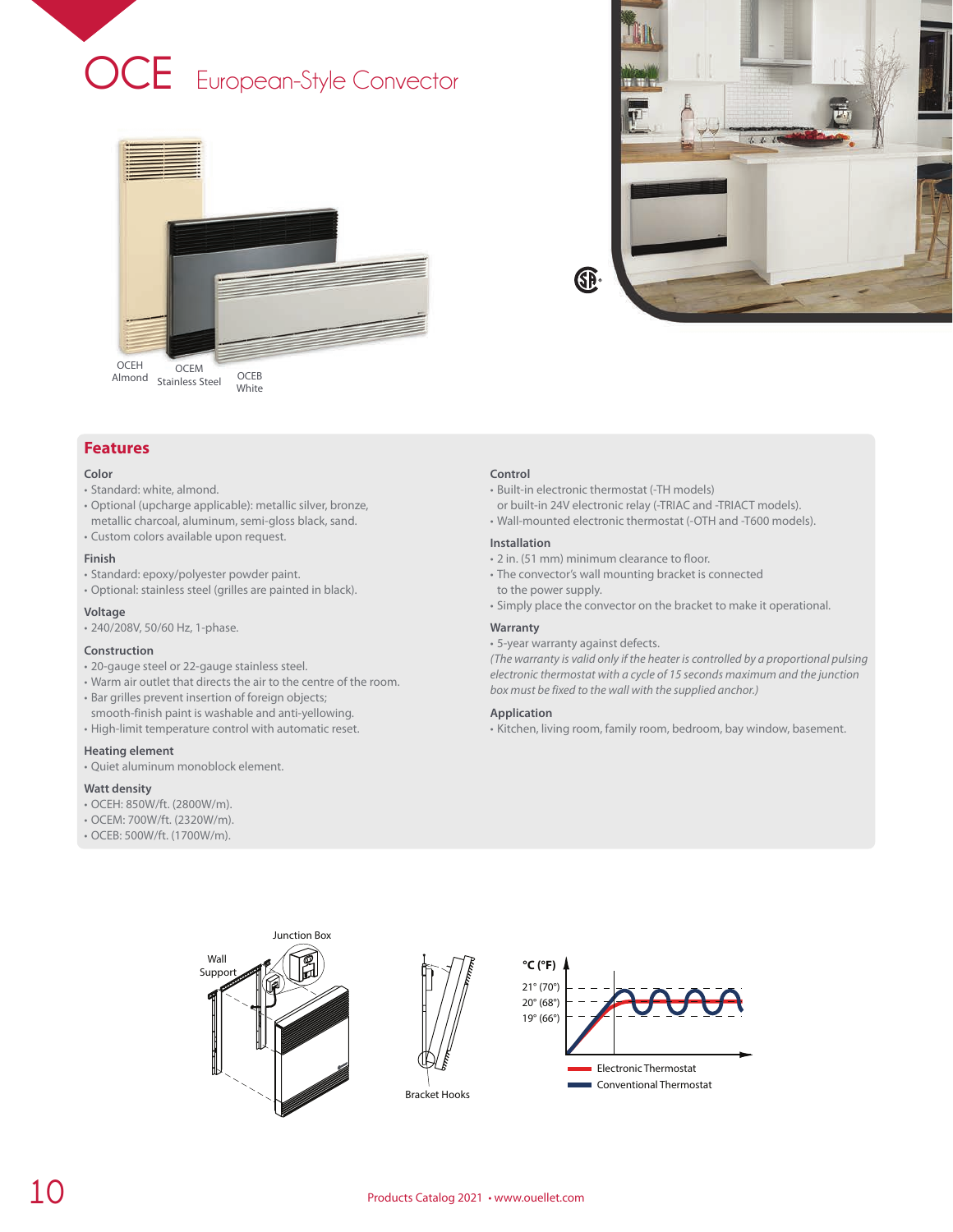





# **Color**

- Standard: white, almond.
- Optional (upcharge applicable): metallic silver, bronze, metallic charcoal, aluminum, semi-gloss black, sand.
- Custom colors available upon request.

# **Finish**

- Standard: epoxy/polyester powder paint.
- Optional: stainless steel (grilles are painted in black).

#### **Voltage**

• 240/208V, 50/60 Hz, 1-phase.

## **Construction**

- 20-gauge steel or 22-gauge stainless steel.
- Warm air outlet that directs the air to the centre of the room.
- Bar grilles prevent insertion of foreign objects;
- smooth-finish paint is washable and anti-yellowing. • High-limit temperature control with automatic reset.

# **Heating element**

• Quiet aluminum monoblock element.

#### **Watt density**

- OCEH: 850W/ft. (2800W/m).
- OCEM: 700W/ft. (2320W/m).
- OCEB: 500W/ft. (1700W/m).

#### **Control**

- Built-in electronic thermostat (-TH models)
- or built-in 24V electronic relay (-TRIAC and -TRIACT models).
- Wall-mounted electronic thermostat (-OTH and -T600 models).

#### **Installation**

- 2 in. (51 mm) minimum clearance to floor.
- The convector's wall mounting bracket is connected to the power supply.
- Simply place the convector on the bracket to make it operational.

## **Warranty**

• 5-year warranty against defects.

*(The warranty is valid only if the heater is controlled by a proportional pulsing electronic thermostat with a cycle of 15 seconds maximum and the junction box must be fixed to the wall with the supplied anchor.)*

#### **Application**

• Kitchen, living room, family room, bedroom, bay window, basement.